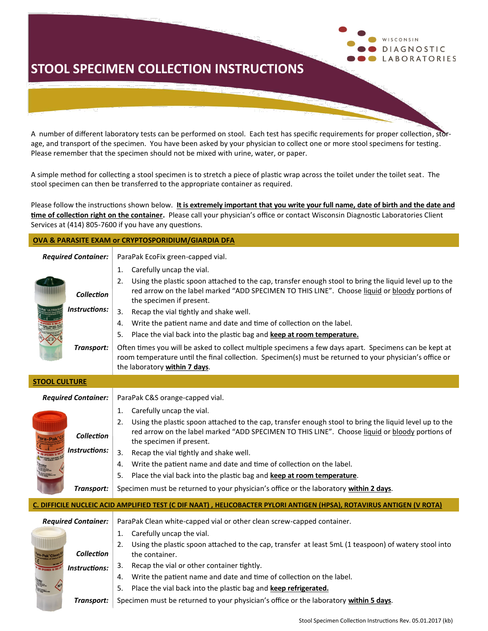### **STOOL SPECIMEN COLLECTION INSTRUCTIONS**

A number of different laboratory tests can be performed on stool. Each test has specific requirements for proper collection, storage, and transport of the specimen. You have been asked by your physician to collect one or more stool specimens for testing. Please remember that the specimen should not be mixed with urine, water, or paper.

A simple method for collecting a stool specimen is to stretch a piece of plastic wrap across the toilet under the toilet seat. The stool specimen can then be transferred to the appropriate container as required.

Please follow the instructions shown below. **It is extremely important that you write your full name, date of birth and the date and time of collection right on the container.** Please call your physician's office or contact Wisconsin Diagnostic Laboratories Client Services at (414) 805-7600 if you have any questions.

#### **OVA & PARASITE EXAM or CRYPTOSPORIDIUM/GIARDIA DFA**

**Required Container:** ParaPak EcoFix green-capped vial.

*Collection Instructions:* 1. Carefully uncap the vial. 2. Using the plastic spoon attached to the cap, transfer enough stool to bring the liquid level up to the red arrow on the label marked "ADD SPECIMEN TO THIS LINE". Choose liquid or bloody portions of the specimen if present. 3. Recap the vial tightly and shake well. 4. Write the patient name and date and time of collection on the label. 5. Place the vial back into the plastic bag and **keep at room temperature. Transport:** Often times you will be asked to collect multiple specimens a few days apart. Specimens can be kept at room temperature until the final collection. Specimen(s) must be returned to your physician's office or the laboratory **within 7 days**.

| <b>STOOL CULTURE</b>                                                                                                  |                                                                                                                                                                                                                                                                                                                                                                                                                                                                                                                                                                                      |  |
|-----------------------------------------------------------------------------------------------------------------------|--------------------------------------------------------------------------------------------------------------------------------------------------------------------------------------------------------------------------------------------------------------------------------------------------------------------------------------------------------------------------------------------------------------------------------------------------------------------------------------------------------------------------------------------------------------------------------------|--|
| <b>Required Container:</b>                                                                                            | ParaPak C&S orange-capped vial.                                                                                                                                                                                                                                                                                                                                                                                                                                                                                                                                                      |  |
| <b>Collection</b><br>Instructions:<br>Transport:                                                                      | Carefully uncap the vial.<br>1.<br>Using the plastic spoon attached to the cap, transfer enough stool to bring the liquid level up to the<br>2.<br>red arrow on the label marked "ADD SPECIMEN TO THIS LINE". Choose liquid or bloody portions of<br>the specimen if present.<br>3.<br>Recap the vial tightly and shake well.<br>Write the patient name and date and time of collection on the label.<br>4.<br>Place the vial back into the plastic bag and keep at room temperature.<br>5.<br>Specimen must be returned to your physician's office or the laboratory within 2 days. |  |
| C. DIFFICILE NUCLEIC ACID AMPLIFIED TEST (C DIF NAAT), HELICOBACTER PYLORI ANTIGEN (HPSA), ROTAVIRUS ANTIGEN (V ROTA) |                                                                                                                                                                                                                                                                                                                                                                                                                                                                                                                                                                                      |  |
| <b>Required Container:</b>                                                                                            | ParaPak Clean white-capped vial or other clean screw-capped container.                                                                                                                                                                                                                                                                                                                                                                                                                                                                                                               |  |
| <b>Collection</b><br>-Pak <sup>*</sup> Clea<br>Instructions:                                                          | Carefully uncap the vial.<br>1.<br>Using the plastic spoon attached to the cap, transfer at least 5mL (1 teaspoon) of watery stool into<br>2.<br>the container.<br>Recap the vial or other container tightly.<br>3.<br>Write the patient name and date and time of collection on the label.<br>4.<br>5.<br>Place the vial back into the plastic bag and keep refrigerated.                                                                                                                                                                                                           |  |

*Transport:* Specimen must be returned to your physician's office or the laboratory within 5 days.

WISCONSIN

**DIAGNOSTIC LABORATORIES**